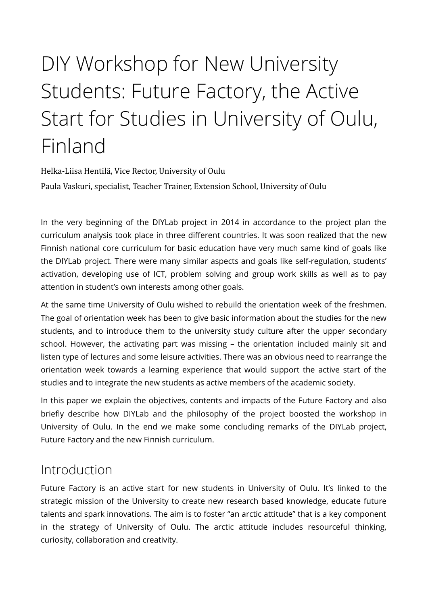# DIY Workshop for New University Students: Future Factory, the Active Start for Studies in University of Oulu, Finland

Helka-Liisa Hentilä, Vice Rector, University of Oulu Paula Vaskuri, specialist, Teacher Trainer, Extension School, University of Oulu

In the very beginning of the DIYLab project in 2014 in accordance to the project plan the curriculum analysis took place in three diferent countries. It was soon realized that the new Finnish national core curriculum for basic education have very much same kind of goals like the DIYLab project. There were many similar aspects and goals like self-regulation, students' activation, developing use of ICT, problem solving and group work skills as well as to pay attention in student's own interests among other goals.

At the same time University of Oulu wished to rebuild the orientation week of the freshmen. The goal of orientation week has been to give basic information about the studies for the new students, and to introduce them to the university study culture after the upper secondary school. However, the activating part was missing – the orientation included mainly sit and listen type of lectures and some leisure activities. There was an obvious need to rearrange the orientation week towards a learning experience that would support the active start of the studies and to integrate the new students as active members of the academic society.

In this paper we explain the objectives, contents and impacts of the Future Factory and also briefly describe how DIYLab and the philosophy of the project boosted the workshop in University of Oulu. In the end we make some concluding remarks of the DIYLab project, Future Factory and the new Finnish curriculum.

### Introduction

Future Factory is an active start for new students in University of Oulu. It's linked to the strategic mission of the University to create new research based knowledge, educate future talents and spark innovations. The aim is to foster "an arctic attitude" that is a key component in the strategy of University of Oulu. The arctic attitude includes resourceful thinking, curiosity, collaboration and creativity.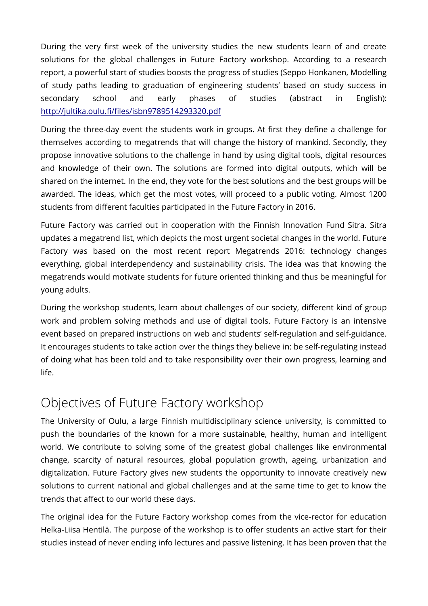During the very frst week of the university studies the new students learn of and create solutions for the global challenges in Future Factory workshop. According to a research report, a powerful start of studies boosts the progress of studies (Seppo Honkanen, Modelling of study paths leading to graduation of engineering students' based on study success in secondary school and early phases of studies (abstract in English): http://jultika.oulu.fi/files/isbn9789514293320.pdf

During the three-day event the students work in groups. At first they define a challenge for themselves according to megatrends that will change the history of mankind. Secondly, they propose innovative solutions to the challenge in hand by using digital tools, digital resources and knowledge of their own. The solutions are formed into digital outputs, which will be shared on the internet. In the end, they vote for the best solutions and the best groups will be awarded. The ideas, which get the most votes, will proceed to a public voting. Almost 1200 students from diferent faculties participated in the Future Factory in 2016.

Future Factory was carried out in cooperation with the Finnish Innovation Fund Sitra. Sitra updates a megatrend list, which depicts the most urgent societal changes in the world. Future Factory was based on the most recent report Megatrends 2016: technology changes everything, global interdependency and sustainability crisis. The idea was that knowing the megatrends would motivate students for future oriented thinking and thus be meaningful for young adults.

During the workshop students, learn about challenges of our society, diferent kind of group work and problem solving methods and use of digital tools. Future Factory is an intensive event based on prepared instructions on web and students' self-regulation and self-guidance. It encourages students to take action over the things they believe in: be self-regulating instead of doing what has been told and to take responsibility over their own progress, learning and life.

## Objectives of Future Factory workshop

The University of Oulu, a large Finnish multidisciplinary science university, is committed to push the boundaries of the known for a more sustainable, healthy, human and intelligent world. We contribute to solving some of the greatest global challenges like environmental change, scarcity of natural resources, global population growth, ageing, urbanization and digitalization. Future Factory gives new students the opportunity to innovate creatively new solutions to current national and global challenges and at the same time to get to know the trends that afect to our world these days.

The original idea for the Future Factory workshop comes from the vice-rector for education Helka-Liisa Hentilä. The purpose of the workshop is to offer students an active start for their studies instead of never ending info lectures and passive listening. It has been proven that the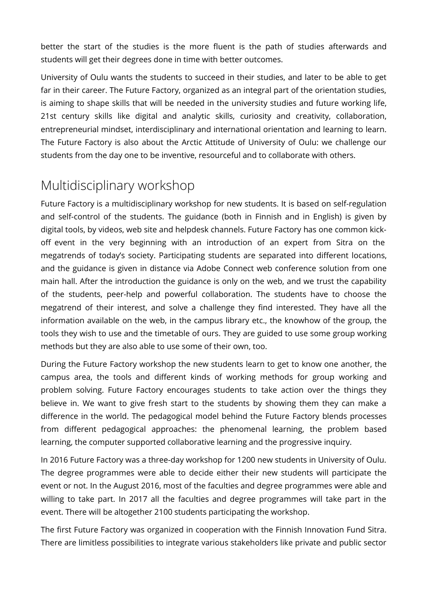better the start of the studies is the more fluent is the path of studies afterwards and students will get their degrees done in time with better outcomes.

University of Oulu wants the students to succeed in their studies, and later to be able to get far in their career. The Future Factory, organized as an integral part of the orientation studies, is aiming to shape skills that will be needed in the university studies and future working life, 21st century skills like digital and analytic skills, curiosity and creativity, collaboration, entrepreneurial mindset, interdisciplinary and international orientation and learning to learn. The Future Factory is also about the Arctic Attitude of University of Oulu: we challenge our students from the day one to be inventive, resourceful and to collaborate with others.

## Multidisciplinary workshop

Future Factory is a multidisciplinary workshop for new students. It is based on self-regulation and self-control of the students. The guidance (both in Finnish and in English) is given by digital tools, by videos, web site and helpdesk channels. Future Factory has one common kickoff event in the very beginning with an introduction of an expert from Sitra on the megatrends of today's society. Participating students are separated into diferent locations, and the guidance is given in distance via Adobe Connect web conference solution from one main hall. After the introduction the guidance is only on the web, and we trust the capability of the students, peer-help and powerful collaboration. The students have to choose the megatrend of their interest, and solve a challenge they fnd interested. They have all the information available on the web, in the campus library etc., the knowhow of the group, the tools they wish to use and the timetable of ours. They are guided to use some group working methods but they are also able to use some of their own, too.

During the Future Factory workshop the new students learn to get to know one another, the campus area, the tools and diferent kinds of working methods for group working and problem solving. Future Factory encourages students to take action over the things they believe in. We want to give fresh start to the students by showing them they can make a diference in the world. The pedagogical model behind the Future Factory blends processes from diferent pedagogical approaches: the phenomenal learning, the problem based learning, the computer supported collaborative learning and the progressive inquiry.

In 2016 Future Factory was a three-day workshop for 1200 new students in University of Oulu. The degree programmes were able to decide either their new students will participate the event or not. In the August 2016, most of the faculties and degree programmes were able and willing to take part. In 2017 all the faculties and degree programmes will take part in the event. There will be altogether 2100 students participating the workshop.

The first Future Factory was organized in cooperation with the Finnish Innovation Fund Sitra. There are limitless possibilities to integrate various stakeholders like private and public sector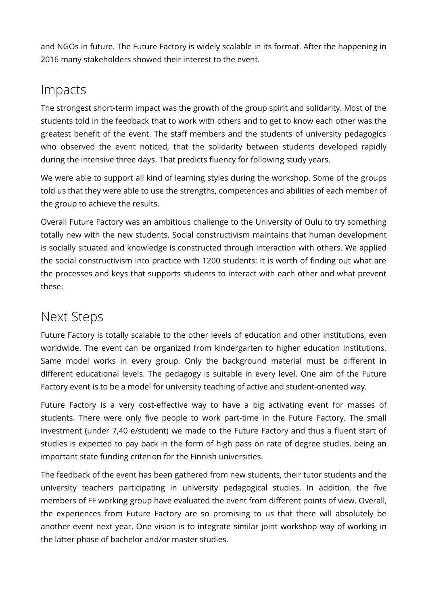and NGOs in future. The Future Factory is widely scalable in its format. After the happening in 2016 many stakeholders showed their interest to the event.

### Impacts

The strongest short-term impact was the growth of the group spirit and solidarity. Most of the students told in the feedback that to work with others and to get to know each other was the greatest benefit of the event. The staff members and the students of university pedagogics who observed the event noticed, that the solidarity between students developed rapidly during the intensive three days. That predicts fluency for following study years.

We were able to support all kind of learning styles during the workshop. Some of the groups told us that they were able to use the strengths, competences and abilities of each member of the group to achieve the results.

Overall Future Factory was an ambitious challenge to the University of Oulu to try something totally new with the new students. Social constructivism maintains that human development is socially situated and knowledge is constructed through interaction with others. We applied the social constructivism into practice with 1200 students: It is worth of fnding out what are the processes and keys that supports students to interact with each other and what prevent these.

### Next Steps

Future Factory is totally scalable to the other levels of education and other institutions, even worldwide. The event can be organized from kindergarten to higher education institutions. Same model works in every group. Only the background material must be diferent in diferent educational levels. The pedagogy is suitable in every level. One aim of the Future Factory event is to be a model for university teaching of active and student-oriented way.

Future Factory is a very cost-effective way to have a big activating event for masses of students. There were only five people to work part-time in the Future Factory. The small investment (under 7,40 e/student) we made to the Future Factory and thus a fluent start of studies is expected to pay back in the form of high pass on rate of degree studies, being an important state funding criterion for the Finnish universities.

The feedback of the event has been gathered from new students, their tutor students and the university teachers participating in university pedagogical studies. In addition, the fve members of FF working group have evaluated the event from diferent points of view. Overall, the experiences from Future Factory are so promising to us that there will absolutely be another event next year. One vision is to integrate similar joint workshop way of working in the latter phase of bachelor and/or master studies.